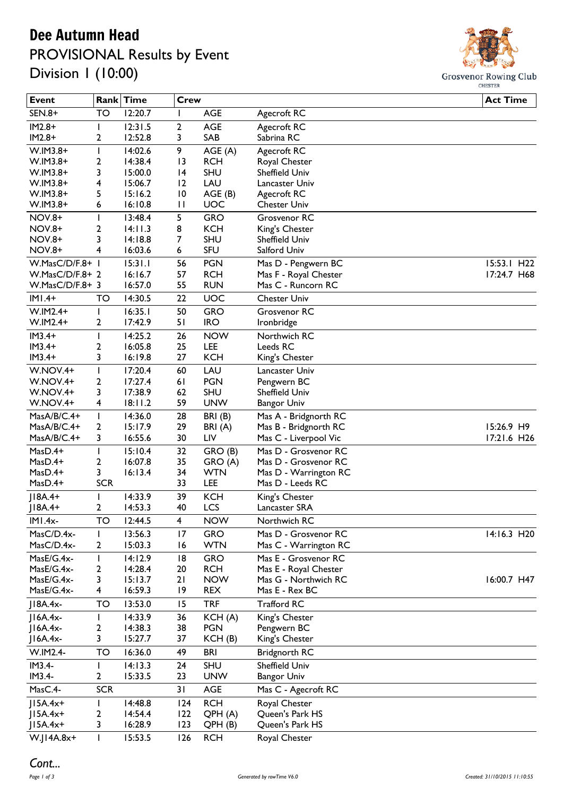## Dee Autumn Head

## PROVISIONAL Results by Event Division 1 (10:00)



| <b>Event</b>    |                | Rank Time | <b>Crew</b>     |            |                       | <b>Act Time</b>           |
|-----------------|----------------|-----------|-----------------|------------|-----------------------|---------------------------|
| SEN.8+          | TO             | 12:20.7   | ı               | <b>AGE</b> | Agecroft RC           |                           |
| $IM2.8+$        |                | 12:31.5   | $\overline{2}$  | <b>AGE</b> | Agecroft RC           |                           |
| $IM2.8+$        | 2              | 12:52.8   | 3               | SAB        | Sabrina RC            |                           |
| W.IM3.8+        | ı              | 14:02.6   | 9               | AGE (A)    | Agecroft RC           |                           |
| W.IM3.8+        | 2              | 14:38.4   | 13              | <b>RCH</b> | Royal Chester         |                           |
| $W.IM3.8+$      | 3              | 15:00.0   | 4               | SHU        | Sheffield Univ        |                           |
| W.IM3.8+        | 4              | 15:06.7   | 12              | LAU        | Lancaster Univ        |                           |
| $W.IM3.8+$      | 5              | 15:16.2   | $\overline{10}$ | AGE (B)    | Agecroft RC           |                           |
| W.IM3.8+        | 6              | 16:10.8   | $\mathbf{H}$    | UOC        | <b>Chester Univ</b>   |                           |
| <b>NOV.8+</b>   |                | 13:48.4   | 5               | <b>GRO</b> | Grosvenor RC          |                           |
| <b>NOV.8+</b>   | 2              | 14:11.3   | 8               | <b>KCH</b> | King's Chester        |                           |
| <b>NOV.8+</b>   | 3              | 14:18.8   | 7               | SHU        | Sheffield Univ        |                           |
| <b>NOV.8+</b>   | 4              | 16:03.6   | 6               | <b>SFU</b> | Salford Univ          |                           |
| W.MasC/D/F.8+ I |                | 15:31.1   | 56              | <b>PGN</b> | Mas D - Pengwern BC   | 15:53.1 H22               |
| W.MasC/D/F.8+ 2 |                | 16:16.7   | 57              | <b>RCH</b> | Mas F - Royal Chester | 17:24.7 H68               |
| W.MasC/D/F.8+ 3 |                | 16:57.0   | 55              | <b>RUN</b> | Mas C - Runcorn RC    |                           |
| $IMI.4+$        | TO             | 14:30.5   | 22              | UOC        | <b>Chester Univ</b>   |                           |
| $W.IM2.4+$      | ı              | 16:35.1   | 50              | <b>GRO</b> | Grosvenor RC          |                           |
| $W.IM2.4+$      | 2              | 17:42.9   | 51              | <b>IRO</b> | Ironbridge            |                           |
| $IM3.4+$        | T              | 14:25.2   | 26              | <b>NOW</b> | Northwich RC          |                           |
| $IM3.4+$        | 2              | 16:05.8   | 25              | LEE        | Leeds RC              |                           |
| $IM3.4+$        | 3              | 16:19.8   | 27              | <b>KCH</b> | King's Chester        |                           |
| W.NOV.4+        | I              | 17:20.4   | 60              | LAU        | Lancaster Univ        |                           |
| W.NOV.4+        | $\mathbf{2}$   | 17:27.4   | 61              | <b>PGN</b> | Pengwern BC           |                           |
| W.NOV.4+        | 3              | 17:38.9   | 62              | SHU        | Sheffield Univ        |                           |
| W.NOV.4+        | 4              | 18:11.2   | 59              | <b>UNW</b> | <b>Bangor Univ</b>    |                           |
| MasA/B/C.4+     | I              | 14:36.0   | 28              | BRI(B)     | Mas A - Bridgnorth RC |                           |
| MasA/B/C.4+     | 2              | 15:17.9   | 29              | BRI(A)     | Mas B - Bridgnorth RC | 15:26.9 H9                |
| MasA/B/C.4+     | 3              | 16:55.6   | 30              | LIV        | Mas C - Liverpool Vic | 17:21.6 H26               |
| MasD.4+         |                | 15:10.4   | 32              | GRO (B)    | Mas D - Grosvenor RC  |                           |
| MasD.4+         | 2              | 16:07.8   | 35              | GRO (A)    | Mas D - Grosvenor RC  |                           |
| $MasD.4+$       | 3              | 16:13.4   | 34              | <b>WTN</b> | Mas D - Warrington RC |                           |
| MasD.4+         | <b>SCR</b>     |           | 33              | LEE        | Mas D - Leeds RC      |                           |
| $ 18A.4+$       |                | 14:33.9   | 39              | <b>KCH</b> | King's Chester        |                           |
| $ 18A.4+$       | $\overline{2}$ | 14:53.3   | 40              | LCS        | Lancaster SRA         |                           |
| $IMI.4x-$       | TO             | 12:44.5   | 4               | <b>NOW</b> | Northwich RC          |                           |
| MasC/D.4x-      |                | 13:56.3   | 17              | <b>GRO</b> | Mas D - Grosvenor RC  | $14:16.3$ H <sub>20</sub> |
| MasC/D.4x-      | $\mathbf{2}$   | 15:03.3   | 16              | <b>WTN</b> | Mas C - Warrington RC |                           |
| MasE/G.4x-      |                | 14:12.9   | 8               | <b>GRO</b> | Mas E - Grosvenor RC  |                           |
| MasE/G.4x-      | 2              | 14:28.4   | 20              | <b>RCH</b> | Mas E - Royal Chester |                           |
| MasE/G.4x-      | 3              | 15:13.7   | 21              | <b>NOW</b> | Mas G - Northwich RC  | 16:00.7 H47               |
| MasE/G.4x-      | 4              | 16:59.3   | 9               | <b>REX</b> | Mas E - Rex BC        |                           |
| $J18A.4x-$      | TO             | 13:53.0   | 15              | <b>TRF</b> | <b>Trafford RC</b>    |                           |
| $ 16A.4x-$      |                | 14:33.9   | 36              | KCH(A)     | King's Chester        |                           |
| $ 16A.4x-$      | 2              | 14:38.3   | 38              | <b>PGN</b> | Pengwern BC           |                           |
| $ 16A.4x-$      | 3              | 15:27.7   | 37              | KCH(B)     | King's Chester        |                           |
| W.IM2.4-        | TO             | 16:36.0   | 49              | <b>BRI</b> | Bridgnorth RC         |                           |
| IM3.4-          |                | 14:13.3   | 24              | SHU        | Sheffield Univ        |                           |
| IM3.4-          | 2              | 15:33.5   | 23              | <b>UNW</b> | <b>Bangor Univ</b>    |                           |
| MasC.4-         | <b>SCR</b>     |           | 31              | <b>AGE</b> | Mas C - Agecroft RC   |                           |
| $ 15A.4x+$      | L              | 14:48.8   | 124             | <b>RCH</b> | Royal Chester         |                           |
| $J15A.4x+$      | 2              | 14:54.4   | 122             | QPH (A)    | Queen's Park HS       |                           |
| $J15A.4x+$      | 3              | 16:28.9   | 123             | QPH (B)    | Queen's Park HS       |                           |
| $W.JI4A.8x+$    | I              | 15:53.5   | 126             | <b>RCH</b> | Royal Chester         |                           |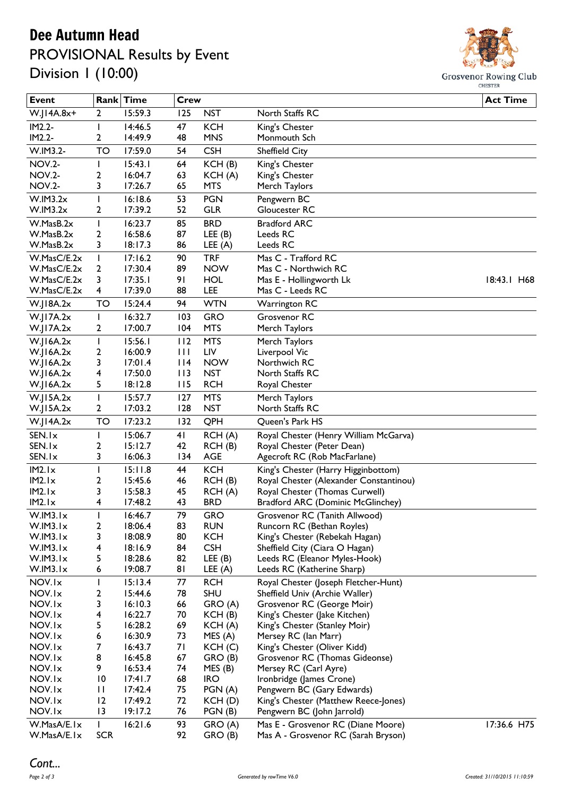## Dee Autumn Head PROVISIONAL Results by Event

Division 1 (10:00)



| <b>Event</b>               |                      | Rank Time          | <b>Crew</b> |                    |                                                                           | <b>Act Time</b> |
|----------------------------|----------------------|--------------------|-------------|--------------------|---------------------------------------------------------------------------|-----------------|
| $W.JI4A.8x+$               | 2                    | 15:59.3            | 125         | <b>NST</b>         | North Staffs RC                                                           |                 |
| IM2.2-                     | ı                    | 14:46.5            | 47          | <b>KCH</b>         | King's Chester                                                            |                 |
| IM2.2-                     | 2                    | 14:49.9            | 48          | <b>MNS</b>         | Monmouth Sch                                                              |                 |
| W.IM3.2-                   | TO                   | 17:59.0            | 54          | <b>CSH</b>         | Sheffield City                                                            |                 |
| <b>NOV.2-</b>              | I                    | 15:43.1            | 64          | KCH(B)             | King's Chester                                                            |                 |
| <b>NOV.2-</b>              | 2                    | 16:04.7            | 63          | KCH(A)             | King's Chester                                                            |                 |
| <b>NOV.2-</b>              | 3                    | 17:26.7            | 65          | <b>MTS</b>         | Merch Taylors                                                             |                 |
| W.IM3.2x                   | L                    | 16:18.6            | 53          | <b>PGN</b>         | Pengwern BC                                                               |                 |
| W.IM3.2x                   | 2                    | 17:39.2            | 52          | <b>GLR</b>         | Gloucester RC                                                             |                 |
| W.MasB.2x                  | T                    | 16:23.7            | 85          | <b>BRD</b>         | <b>Bradford ARC</b>                                                       |                 |
| W.MasB.2x                  | 2                    | 16:58.6            | 87          | LEE(B)             | Leeds RC                                                                  |                 |
| W.MasB.2x                  | 3                    | 18:17.3            | 86          | LEE $(A)$          | Leeds RC                                                                  |                 |
| W.MasC/E.2x                | ı                    | 17:16.2            | 90          | <b>TRF</b>         | Mas C - Trafford RC                                                       |                 |
| W.MasC/E.2x                | 2                    | 17:30.4            | 89          | <b>NOW</b>         | Mas C - Northwich RC                                                      |                 |
| W.MasC/E.2x                | 3                    | 17:35.1            | 91          | <b>HOL</b>         | Mas E - Hollingworth Lk                                                   | 18:43.1 H68     |
| W.MasC/E.2x                | 4                    | 17:39.0            | 88          | LEE                | Mas C - Leeds RC                                                          |                 |
| W.JI8A.2x                  | TO                   | 15:24.4            | 94          | <b>WTN</b>         | <b>Warrington RC</b>                                                      |                 |
| W.I17A.2x                  | I                    | 16:32.7            | 103         | <b>GRO</b>         | Grosvenor RC                                                              |                 |
| W.JI7A.2x                  | 2                    | 17:00.7            | 104         | <b>MTS</b>         | Merch Taylors                                                             |                 |
| W.JI6A.2x                  | T                    | 15:56.1            | 112         | <b>MTS</b>         | Merch Taylors                                                             |                 |
| $W$ .JI6A.2 $x$            | 2                    | 16:00.9            | Ш           | LIV                | Liverpool Vic                                                             |                 |
| $W$ .JI6A.2 $x$            | 3                    | 17:01.4            | $ $  4      | <b>NOW</b>         | Northwich RC                                                              |                 |
| W.JI6A.2x                  | 4                    | 17:50.0            | 113         | <b>NST</b>         | North Staffs RC                                                           |                 |
| W.JI6A.2x                  | 5                    | 18:12.8            | 115         | <b>RCH</b>         | Royal Chester                                                             |                 |
| W.JI5A.2x                  | $\mathsf I$          | 15:57.7            | 127         | <b>MTS</b>         | Merch Taylors                                                             |                 |
| W.JI5A.2x                  | 2                    | 17:03.2            | 128         | <b>NST</b>         | North Staffs RC                                                           |                 |
| W.JI4A.2x                  | <b>TO</b>            | 17:23.2            | 132         | QPH                | Queen's Park HS                                                           |                 |
| SEN.Ix                     | I                    | 15:06.7            | 41          | RCH(A)             | Royal Chester (Henry William McGarva)                                     |                 |
| SEN.Ix                     | 2                    | 15:12.7            | 42          | RCH(B)             | Royal Chester (Peter Dean)                                                |                 |
| SEN.Ix                     | 3                    | 16:06.3            | 134         | <b>AGE</b>         | Agecroft RC (Rob MacFarlane)                                              |                 |
| IM2.Ix                     | ı                    | 15:11.8            | 44          | <b>KCH</b>         | King's Chester (Harry Higginbottom)                                       |                 |
| IM2.Ix                     | 2                    | 15:45.6            | 46          | RCH(B)             | Royal Chester (Alexander Constantinou)                                    |                 |
| IM2.Ix                     | 3                    | 15:58.3            | 45          | RCH(A)             | Royal Chester (Thomas Curwell)                                            |                 |
| IM2.Ix                     | 4                    | 17:48.2            | 43          | <b>BRD</b>         | <b>Bradford ARC (Dominic McGlinchey)</b>                                  |                 |
| W.IM3.Ix                   |                      | 16:46.7            | 79          | <b>GRO</b>         | Grosvenor RC (Tanith Allwood)                                             |                 |
| W.IM3.Ix                   | 2                    | 18:06.4            | 83          | <b>RUN</b>         | Runcorn RC (Bethan Royles)                                                |                 |
| W.IM3.Ix                   | 3                    | 18:08.9            | 80          | <b>KCH</b>         | King's Chester (Rebekah Hagan)                                            |                 |
| W.IM3.Ix                   | 4                    | 18:16.9            | 84          | <b>CSH</b>         | Sheffield City (Ciara O Hagan)                                            |                 |
| W.IM3.Ix                   | 5                    | 18:28.6            | 82          | LEE(B)             | Leeds RC (Eleanor Myles-Hook)                                             |                 |
| W.IM3.Ix                   | 6                    | 19:08.7            | 81          | LEE $(A)$          | Leeds RC (Katherine Sharp)                                                |                 |
| NOV.Ix                     | L                    | 15:13.4            | 77          | <b>RCH</b>         | Royal Chester (Joseph Fletcher-Hunt)                                      |                 |
| NOV.Ix                     | 2                    | 15:44.6            | 78          | SHU                | Sheffield Univ (Archie Waller)                                            |                 |
| NOV.Ix                     | 3                    | 16:10.3            | 66          | GRO (A)            | Grosvenor RC (George Moir)                                                |                 |
| NOV.Ix                     | 4                    | 16:22.7            | 70          | KCH(B)             | King's Chester (Jake Kitchen)                                             |                 |
| NOV.Ix                     | 5                    | 16:28.2            | 69          | KCH(A)             | King's Chester (Stanley Moir)                                             |                 |
| NOV.Ix                     | 6                    | 16:30.9            | 73          | MES(A)             | Mersey RC (lan Marr)                                                      |                 |
| NOV.Ix                     | 7                    | 16:43.7            | 71          | KCH(C)             | King's Chester (Oliver Kidd)                                              |                 |
| NOV.Ix                     | 8                    | 16:45.8            | 67          | GRO (B)            | Grosvenor RC (Thomas Gideonse)                                            |                 |
| NOV.Ix                     | 9                    | 16:53.4            | 74          | MES(B)             | Mersey RC (Carl Ayre)                                                     |                 |
| NOV.Ix<br>NOV.Ix           | $\overline{10}$<br>П | 17:41.7<br>17:42.4 | 68<br>75    | <b>IRO</b>         | Ironbridge (James Crone)                                                  |                 |
| NOV.Ix                     | 12                   | 17:49.2            | 72          | PGN(A)<br>KCH(D)   | Pengwern BC (Gary Edwards)                                                |                 |
| NOV.Ix                     | $\overline{13}$      | 19:17.2            | 76          | PGN(B)             | King's Chester (Matthew Reece-Jones)<br>Pengwern BC (John Jarrold)        |                 |
|                            |                      |                    |             |                    |                                                                           |                 |
| W.MasA/E.Ix<br>W.MasA/E.Ix | L<br><b>SCR</b>      | 16:21.6            | 93<br>92    | GRO (A)<br>GRO (B) | Mas E - Grosvenor RC (Diane Moore)<br>Mas A - Grosvenor RC (Sarah Bryson) | 17:36.6 H75     |
|                            |                      |                    |             |                    |                                                                           |                 |